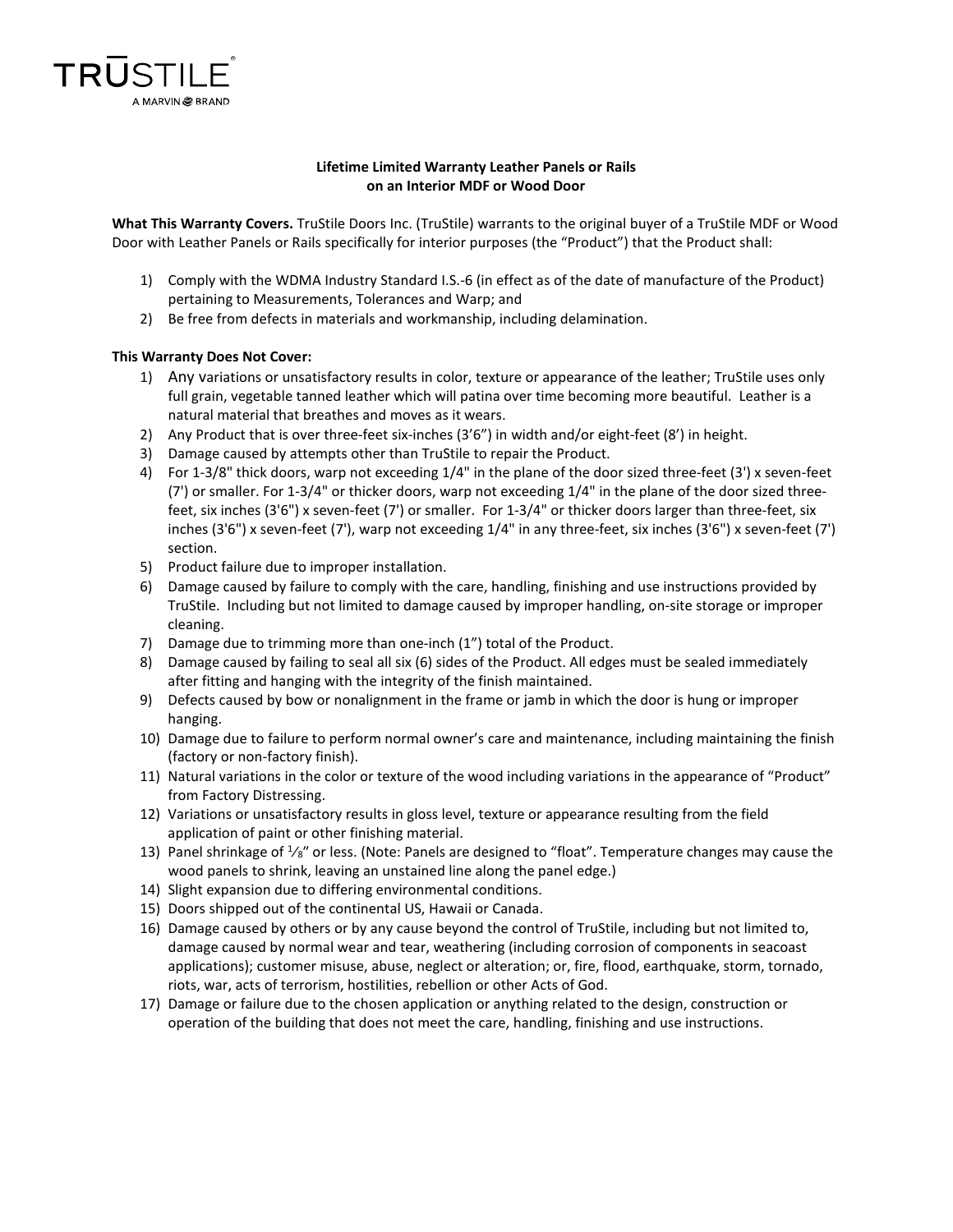

## **Lifetime Limited Warranty Leather Panels or Rails on an Interior MDF or Wood Door**

**What This Warranty Covers.** TruStile Doors Inc. (TruStile) warrants to the original buyer of a TruStile MDF or Wood Door with Leather Panels or Rails specifically for interior purposes (the "Product") that the Product shall:

- 1) Comply with the WDMA Industry Standard I.S.-6 (in effect as of the date of manufacture of the Product) pertaining to Measurements, Tolerances and Warp; and
- 2) Be free from defects in materials and workmanship, including delamination.

## **This Warranty Does Not Cover:**

- 1) Any variations or unsatisfactory results in color, texture or appearance of the leather; TruStile uses only full grain, vegetable tanned leather which will patina over time becoming more beautiful. Leather is a natural material that breathes and moves as it wears.
- 2) Any Product that is over three-feet six-inches (3'6") in width and/or eight-feet (8') in height.
- 3) Damage caused by attempts other than TruStile to repair the Product.
- 4) For 1-3/8" thick doors, warp not exceeding 1/4" in the plane of the door sized three-feet (3') x seven-feet (7') or smaller. For 1-3/4" or thicker doors, warp not exceeding 1/4" in the plane of the door sized threefeet, six inches (3'6") x seven-feet (7') or smaller. For 1-3/4" or thicker doors larger than three-feet, six inches (3'6") x seven-feet (7'), warp not exceeding 1/4" in any three-feet, six inches (3'6") x seven-feet (7') section.
- 5) Product failure due to improper installation.
- 6) Damage caused by failure to comply with the care, handling, finishing and use instructions provided by TruStile. Including but not limited to damage caused by improper handling, on-site storage or improper cleaning.
- 7) Damage due to trimming more than one-inch (1") total of the Product.
- 8) Damage caused by failing to seal all six (6) sides of the Product. All edges must be sealed immediately after fitting and hanging with the integrity of the finish maintained.
- 9) Defects caused by bow or nonalignment in the frame or jamb in which the door is hung or improper hanging.
- 10) Damage due to failure to perform normal owner's care and maintenance, including maintaining the finish (factory or non-factory finish).
- 11) Natural variations in the color or texture of the wood including variations in the appearance of "Product" from Factory Distressing.
- 12) Variations or unsatisfactory results in gloss level, texture or appearance resulting from the field application of paint or other finishing material.
- 13) Panel shrinkage of  $\frac{1}{8}$ " or less. (Note: Panels are designed to "float". Temperature changes may cause the wood panels to shrink, leaving an unstained line along the panel edge.)
- 14) Slight expansion due to differing environmental conditions.
- 15) Doors shipped out of the continental US, Hawaii or Canada.
- 16) Damage caused by others or by any cause beyond the control of TruStile, including but not limited to, damage caused by normal wear and tear, weathering (including corrosion of components in seacoast applications); customer misuse, abuse, neglect or alteration; or, fire, flood, earthquake, storm, tornado, riots, war, acts of terrorism, hostilities, rebellion or other Acts of God.
- 17) Damage or failure due to the chosen application or anything related to the design, construction or operation of the building that does not meet the care, handling, finishing and use instructions.